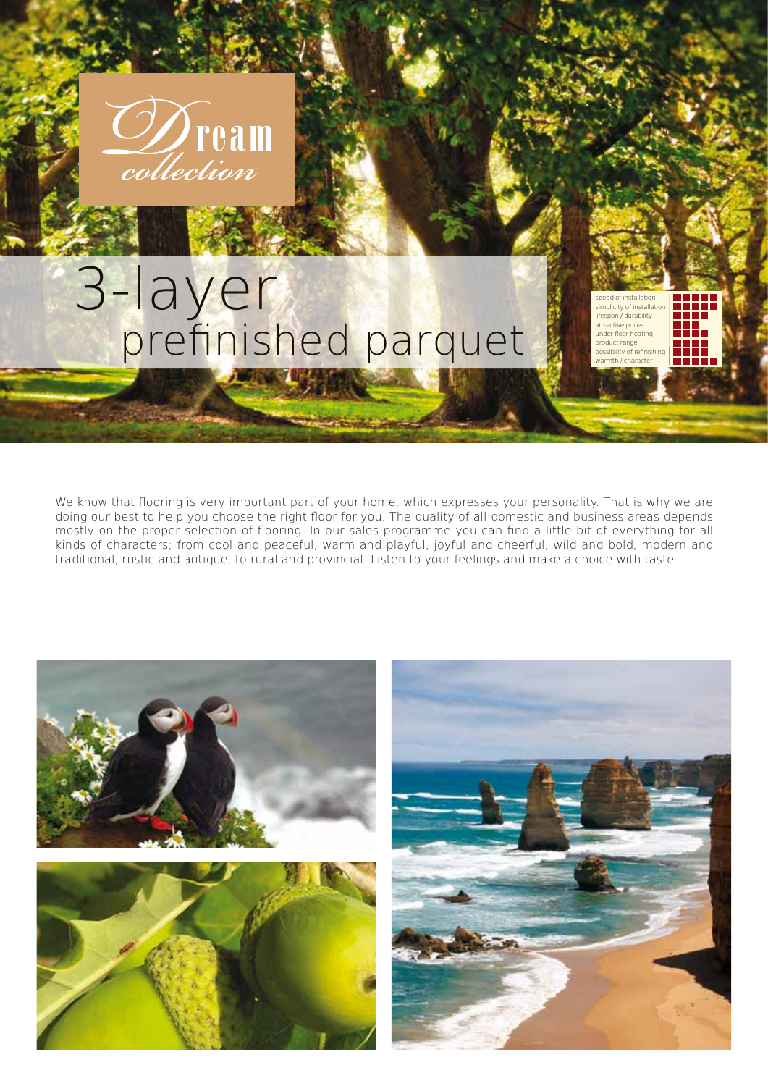

## 3-layer prefinished parquet

We know that flooring is very important part of your home, which expresses your personality. That is why we are doing our best to help you choose the right floor for you. The quality of all domestic and business areas depends mostly on the proper selection of flooring. In our sales programme you can find a little bit of everything for all kinds of characters; from cool and peaceful, warm and playful, joyful and cheerful, wild and bold, modern and traditional, rustic and antique, to rural and provincial. Listen to your feelings and make a choice with taste.

speed of installation simplicity of installation lifespan / durability attractive prices under floor heating product range possibility of refinishing  $mth$  / character

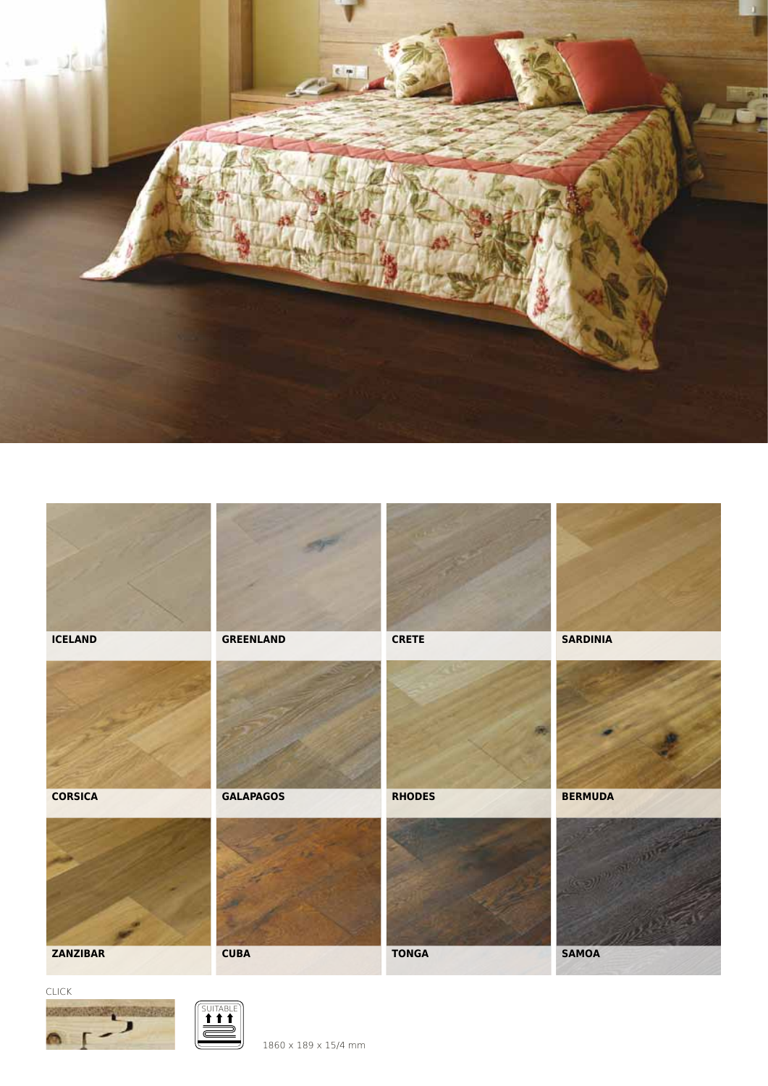



1860 x 189 x 15/4 mm

SUITABL

CLICK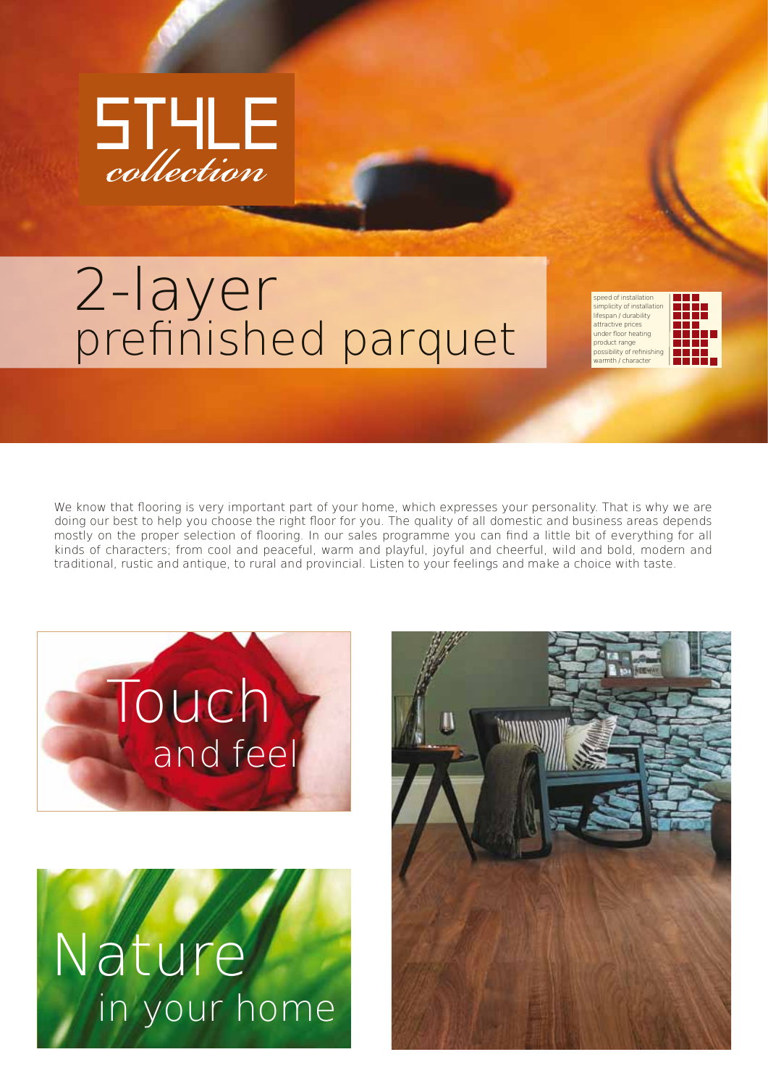

## 2-layer prefinished parquet

speed of installation simplicity of installation lifespan / durability attractive prices under floor heating product range possibility of refinishing  $m$ th  $\tilde{\ell}$  character



We know that flooring is very important part of your home, which expresses your personality. That is why we are doing our best to help you choose the right floor for you. The quality of all domestic and business areas depends mostly on the proper selection of flooring. In our sales programme you can find a little bit of everything for all kinds of characters; from cool and peaceful, warm and playful, joyful and cheerful, wild and bold, modern and traditional, rustic and antique, to rural and provincial. Listen to your feelings and make a choice with taste.